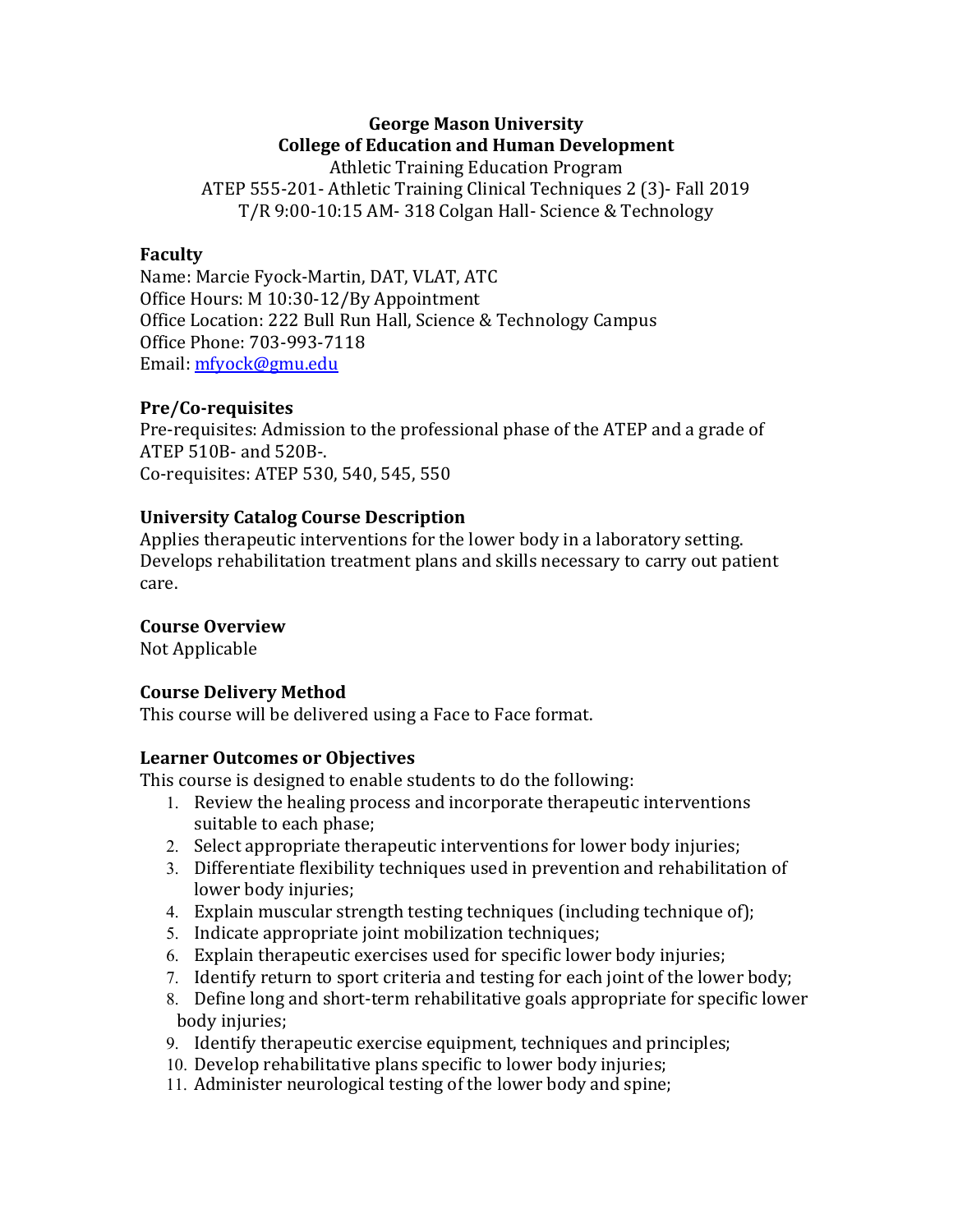# **George Mason University College of Education and Human Development**

Athletic Training Education Program ATEP 555-201- Athletic Training Clinical Techniques 2 (3)- Fall 2019 T/R 9:00-10:15 AM- 318 Colgan Hall- Science & Technology

### **Faculty**

Name: Marcie Fyock-Martin, DAT, VLAT, ATC Office Hours: M 10:30-12/By Appointment Office Location: 222 Bull Run Hall, Science & Technology Campus Office Phone: 703-993-7118 Email: mfyock@gmu.edu

#### **Pre/Co-requisites**

Pre-requisites: Admission to the professional phase of the ATEP and a grade of ATEP 510B- and 520B-. Co-requisites: ATEP 530, 540, 545, 550

### **University Catalog Course Description**

Applies therapeutic interventions for the lower body in a laboratory setting. Develops rehabilitation treatment plans and skills necessary to carry out patient care.

### **Course Overview**

Not Applicable

### **Course Delivery Method**

This course will be delivered using a Face to Face format.

#### **Learner Outcomes or Objectives**

This course is designed to enable students to do the following:

- 1. Review the healing process and incorporate therapeutic interventions suitable to each phase;
- 2. Select appropriate therapeutic interventions for lower body injuries;
- 3. Differentiate flexibility techniques used in prevention and rehabilitation of lower body injuries;
- 4. Explain muscular strength testing techniques (including technique of);
- 5. Indicate appropriate joint mobilization techniques;
- 6. Explain therapeutic exercises used for specific lower body injuries;
- 7. Identify return to sport criteria and testing for each joint of the lower body;
- 8. Define long and short-term rehabilitative goals appropriate for specific lower body injuries;
- 9. Identify therapeutic exercise equipment, techniques and principles;
- 10. Develop rehabilitative plans specific to lower body injuries;
- 11. Administer neurological testing of the lower body and spine;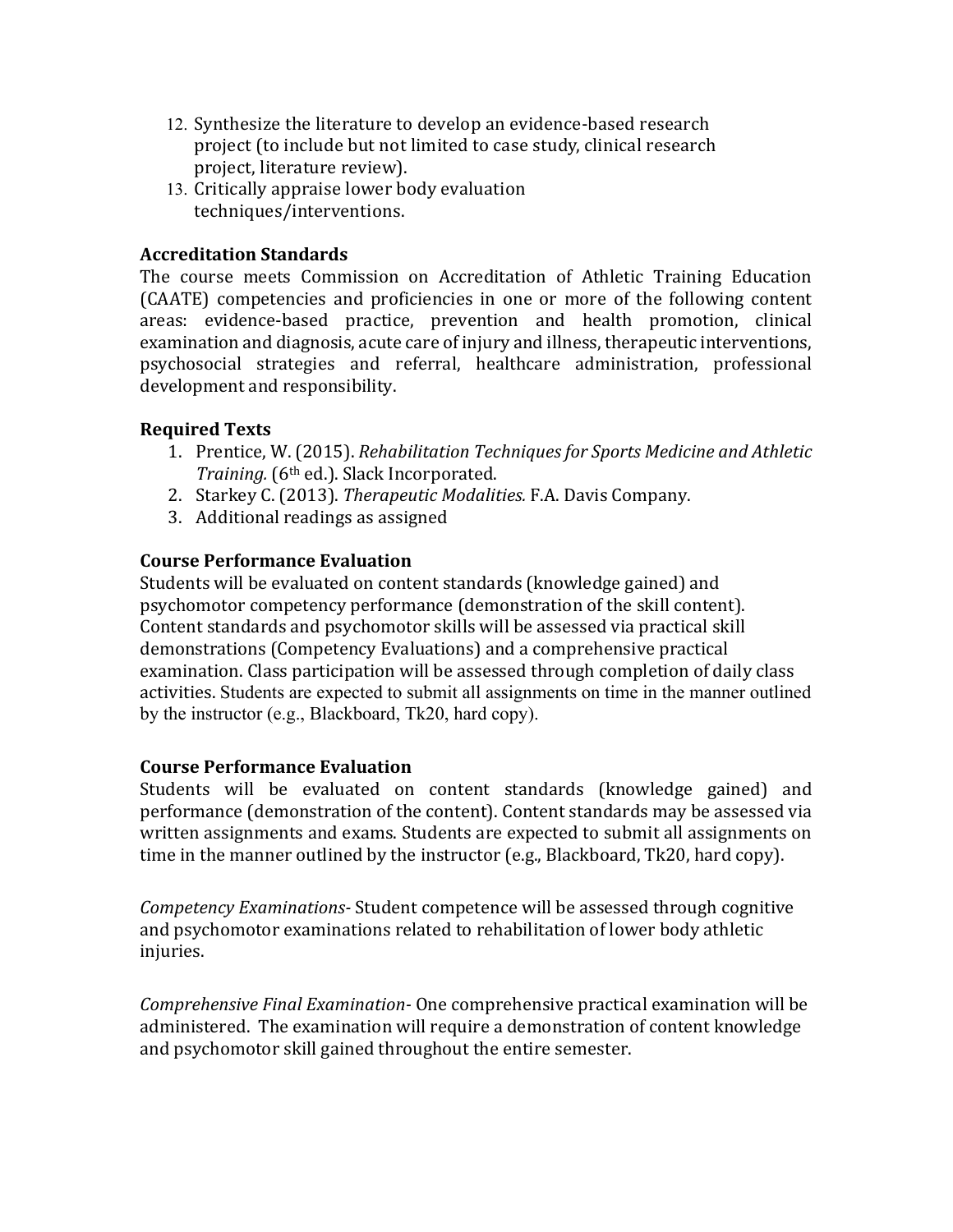- 12. Synthesize the literature to develop an evidence-based research project (to include but not limited to case study, clinical research project, literature review).
- 13. Critically appraise lower body evaluation techniques/interventions.

### **Accreditation Standards**

The course meets Commission on Accreditation of Athletic Training Education (CAATE) competencies and proficiencies in one or more of the following content areas: evidence-based practice, prevention and health promotion, clinical examination and diagnosis, acute care of injury and illness, therapeutic interventions, psychosocial strategies and referral, healthcare administration, professional development and responsibility.

# **Required Texts**

- 1. Prentice, W. (2015). *Rehabilitation Techniques for Sports Medicine and Athletic Training.* (6<sup>th</sup> ed.). Slack Incorporated.
- 2. Starkey C. (2013). *Therapeutic Modalities.* F.A. Davis Company.
- 3. Additional readings as assigned

# **Course Performance Evaluation**

Students will be evaluated on content standards (knowledge gained) and psychomotor competency performance (demonstration of the skill content). Content standards and psychomotor skills will be assessed via practical skill demonstrations (Competency Evaluations) and a comprehensive practical examination. Class participation will be assessed through completion of daily class activities. Students are expected to submit all assignments on time in the manner outlined by the instructor (e.g., Blackboard, Tk20, hard copy).

### **Course Performance Evaluation**

Students will be evaluated on content standards (knowledge gained) and performance (demonstration of the content). Content standards may be assessed via written assignments and exams. Students are expected to submit all assignments on time in the manner outlined by the instructor (e.g., Blackboard, Tk20, hard copy).

*Competency Examinations-* Student competence will be assessed through cognitive and psychomotor examinations related to rehabilitation of lower body athletic injuries.

*Comprehensive Final Examination-* One comprehensive practical examination will be administered. The examination will require a demonstration of content knowledge and psychomotor skill gained throughout the entire semester.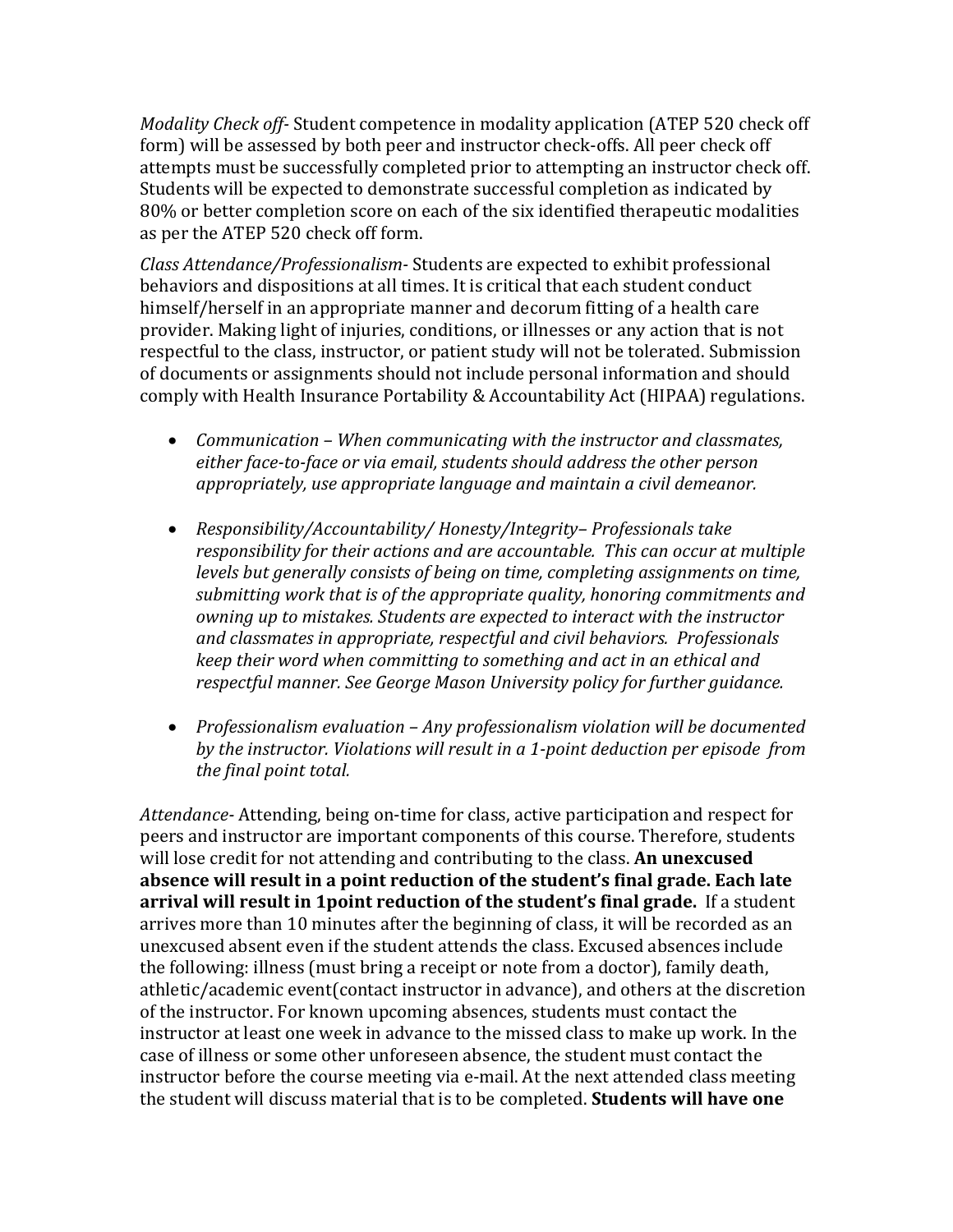*Modality Check off-* Student competence in modality application (ATEP 520 check off form) will be assessed by both peer and instructor check-offs. All peer check off attempts must be successfully completed prior to attempting an instructor check off. Students will be expected to demonstrate successful completion as indicated by 80% or better completion score on each of the six identified therapeutic modalities as per the ATEP 520 check off form.

*Class Attendance/Professionalism-* Students are expected to exhibit professional behaviors and dispositions at all times. It is critical that each student conduct himself/herself in an appropriate manner and decorum fitting of a health care provider. Making light of injuries, conditions, or illnesses or any action that is not respectful to the class, instructor, or patient study will not be tolerated. Submission of documents or assignments should not include personal information and should comply with Health Insurance Portability & Accountability Act (HIPAA) regulations.

- *Communication* When communicating with the instructor and classmates, either face-to-face or via email, students should address the other person appropriately, use appropriate language and maintain a civil demeanor.
- *Responsibility/Accountability/ Honesty/Integrity–Professionals take responsibility for their actions and are accountable. This can occur at multiple levels* but generally consists of being on time, completing assignments on time, submitting work that is of the appropriate quality, honoring commitments and *owning up to mistakes. Students are expected to interact with the instructor and classmates in appropriate, respectful and civil behaviors. Professionals keep* their word when committing to something and act in an ethical and *respectful manner. See George Mason University policy for further guidance.*
- Professionalism evaluation Any professionalism violation will be documented by the instructor. Violations will result in a 1-point deduction per episode from *the final point total.*

*Attendance*- Attending, being on-time for class, active participation and respect for peers and instructor are important components of this course. Therefore, students will lose credit for not attending and contributing to the class. An unexcused absence will result in a point reduction of the student's final grade. Each late **arrival will result in 1point reduction of the student's final grade.** If a student arrives more than 10 minutes after the beginning of class, it will be recorded as an unexcused absent even if the student attends the class. Excused absences include the following: illness (must bring a receipt or note from a doctor), family death, athletic/academic event(contact instructor in advance), and others at the discretion of the instructor. For known upcoming absences, students must contact the instructor at least one week in advance to the missed class to make up work. In the case of illness or some other unforeseen absence, the student must contact the instructor before the course meeting via e-mail. At the next attended class meeting the student will discuss material that is to be completed. **Students will have one**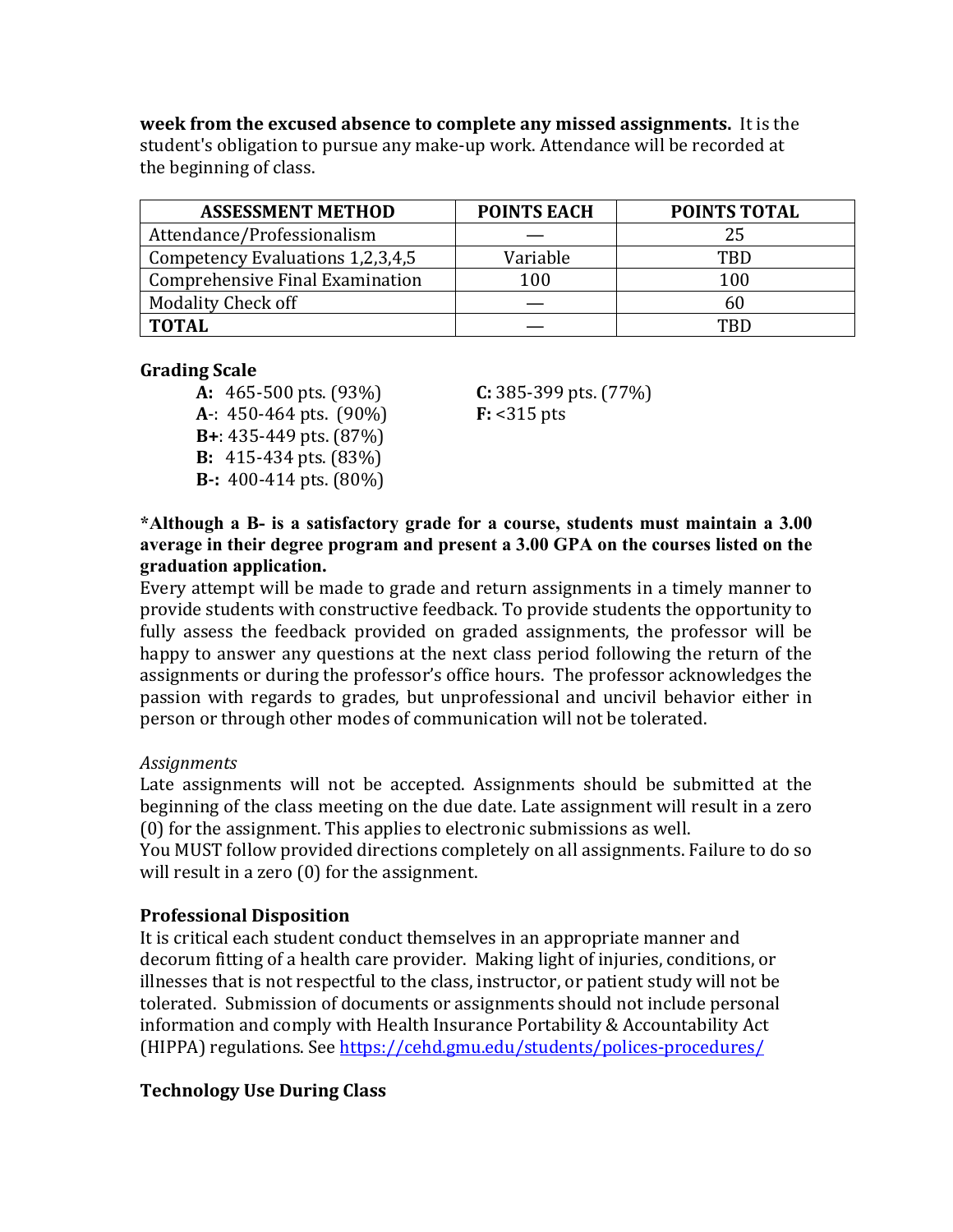**week from the excused absence to complete any missed assignments.** It is the student's obligation to pursue any make-up work. Attendance will be recorded at the beginning of class.

| <b>ASSESSMENT METHOD</b>         | <b>POINTS EACH</b> | <b>POINTS TOTAL</b> |
|----------------------------------|--------------------|---------------------|
| Attendance/Professionalism       |                    | 25                  |
| Competency Evaluations 1,2,3,4,5 | Variable           | TBD                 |
| Comprehensive Final Examination  | 100                | 100                 |
| <b>Modality Check off</b>        |                    | 60                  |
| <b>TOTAL</b>                     |                    | TRD                 |

#### **Grading Scale**

**A:** 465-500 pts. (93%) **C:** 385-399 pts. (77%) **A**-: 450-464 pts. (90%) **F:** <315 pts **B**+: 435-449 pts. (87%) **B:** 415-434 pts. (83%) **B**-: 400-414 pts. (80%)

**\*Although a B- is a satisfactory grade for a course, students must maintain a 3.00 average in their degree program and present a 3.00 GPA on the courses listed on the graduation application.**

Every attempt will be made to grade and return assignments in a timely manner to provide students with constructive feedback. To provide students the opportunity to fully assess the feedback provided on graded assignments, the professor will be happy to answer any questions at the next class period following the return of the assignments or during the professor's office hours. The professor acknowledges the passion with regards to grades, but unprofessional and uncivil behavior either in person or through other modes of communication will not be tolerated.

#### *Assignments*

Late assignments will not be accepted. Assignments should be submitted at the beginning of the class meeting on the due date. Late assignment will result in a zero  $(0)$  for the assignment. This applies to electronic submissions as well.

You MUST follow provided directions completely on all assignments. Failure to do so will result in a zero  $(0)$  for the assignment.

### **Professional Disposition**

It is critical each student conduct themselves in an appropriate manner and decorum fitting of a health care provider. Making light of injuries, conditions, or illnesses that is not respectful to the class, instructor, or patient study will not be tolerated. Submission of documents or assignments should not include personal information and comply with Health Insurance Portability & Accountability Act (HIPPA) regulations. See https://cehd.gmu.edu/students/polices-procedures/

### **Technology Use During Class**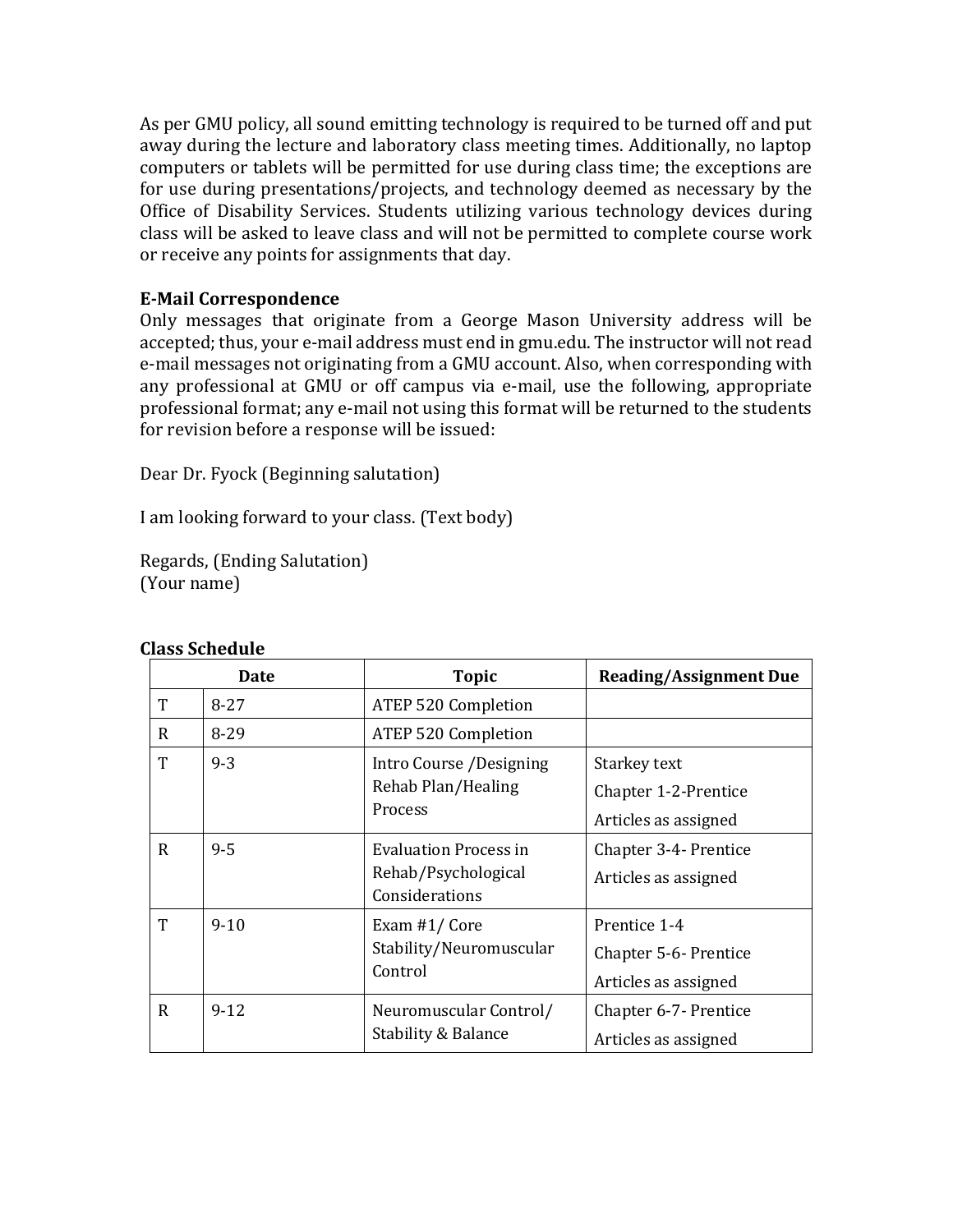As per GMU policy, all sound emitting technology is required to be turned off and put away during the lecture and laboratory class meeting times. Additionally, no laptop computers or tablets will be permitted for use during class time; the exceptions are for use during presentations/projects, and technology deemed as necessary by the Office of Disability Services. Students utilizing various technology devices during class will be asked to leave class and will not be permitted to complete course work or receive any points for assignments that day.

# **E-Mail Correspondence**

Only messages that originate from a George Mason University address will be accepted; thus, your e-mail address must end in gmu.edu. The instructor will not read e-mail messages not originating from a GMU account. Also, when corresponding with any professional at GMU or off campus via e-mail, use the following, appropriate professional format; any e-mail not using this format will be returned to the students for revision before a response will be issued:

Dear Dr. Fyock (Beginning salutation)

I am looking forward to your class. (Text body)

Regards, (Ending Salutation) (Your name)

|             | Date     | <b>Topic</b>                                                   | <b>Reading/Assignment Due</b>                                 |
|-------------|----------|----------------------------------------------------------------|---------------------------------------------------------------|
| T           | $8 - 27$ | ATEP 520 Completion                                            |                                                               |
| $\mathbf R$ | $8 - 29$ | ATEP 520 Completion                                            |                                                               |
| T           | $9 - 3$  | Intro Course /Designing<br>Rehab Plan/Healing<br>Process       | Starkey text<br>Chapter 1-2-Prentice<br>Articles as assigned  |
| R           | $9 - 5$  | Evaluation Process in<br>Rehab/Psychological<br>Considerations | Chapter 3-4- Prentice<br>Articles as assigned                 |
| T           | $9 - 10$ | Exam #1/ Core<br>Stability/Neuromuscular<br>Control            | Prentice 1-4<br>Chapter 5-6- Prentice<br>Articles as assigned |
| $\mathbf R$ | $9 - 12$ | Neuromuscular Control/<br>Stability & Balance                  | Chapter 6-7- Prentice<br>Articles as assigned                 |

### **Class Schedule**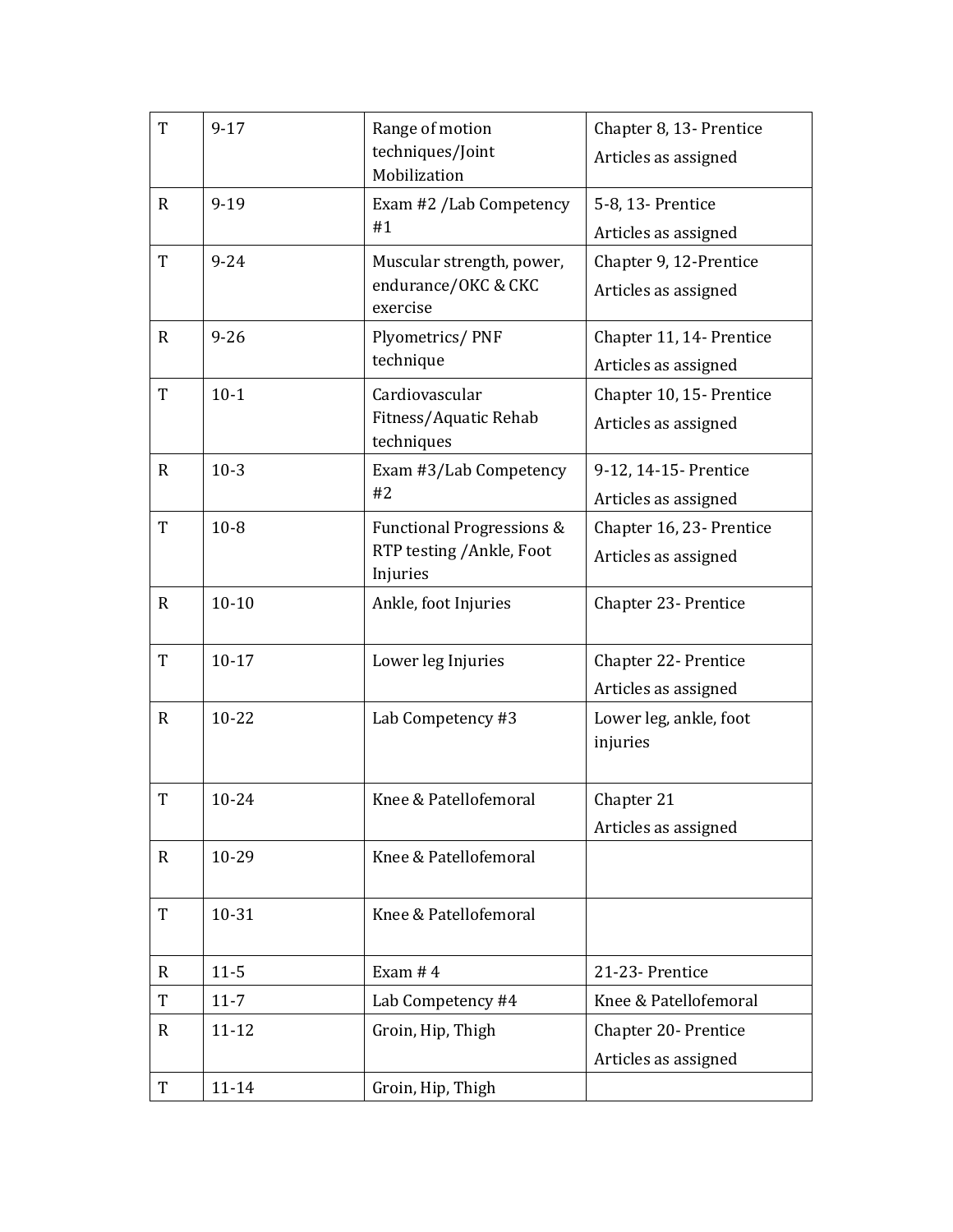| T            | $9 - 17$  | Range of motion<br>techniques/Joint<br>Mobilization               | Chapter 8, 13- Prentice<br>Articles as assigned  |
|--------------|-----------|-------------------------------------------------------------------|--------------------------------------------------|
| $\mathbf{R}$ | $9-19$    | Exam #2 /Lab Competency<br>#1                                     | 5-8, 13- Prentice<br>Articles as assigned        |
| T            | $9 - 24$  | Muscular strength, power,<br>endurance/OKC & CKC<br>exercise      | Chapter 9, 12-Prentice<br>Articles as assigned   |
| $\mathbf{R}$ | $9 - 26$  | Plyometrics/PNF<br>technique                                      | Chapter 11, 14- Prentice<br>Articles as assigned |
| T            | $10-1$    | Cardiovascular<br>Fitness/Aquatic Rehab<br>techniques             | Chapter 10, 15- Prentice<br>Articles as assigned |
| $\mathbf R$  | $10-3$    | Exam #3/Lab Competency<br>#2                                      | 9-12, 14-15- Prentice<br>Articles as assigned    |
| T            | $10-8$    | Functional Progressions &<br>RTP testing /Ankle, Foot<br>Injuries | Chapter 16, 23- Prentice<br>Articles as assigned |
| $\mathbf R$  | $10 - 10$ | Ankle, foot Injuries                                              | Chapter 23- Prentice                             |
| T            | $10 - 17$ | Lower leg Injuries                                                | Chapter 22- Prentice<br>Articles as assigned     |
| R            | $10 - 22$ | Lab Competency #3                                                 | Lower leg, ankle, foot<br>injuries               |
| T            | 10-24     | Knee & Patellofemoral                                             | Chapter 21<br>Articles as assigned               |
| $\mathbf R$  | 10-29     | Knee & Patellofemoral                                             |                                                  |
| $\mathbf T$  | 10-31     | Knee & Patellofemoral                                             |                                                  |
| $\mathbf R$  | $11 - 5$  | Exam $#4$                                                         | 21-23- Prentice                                  |
| T            | $11 - 7$  | Lab Competency #4                                                 | Knee & Patellofemoral                            |
| $\mathbf R$  | $11 - 12$ | Groin, Hip, Thigh                                                 | Chapter 20- Prentice<br>Articles as assigned     |
| T            | $11 - 14$ | Groin, Hip, Thigh                                                 |                                                  |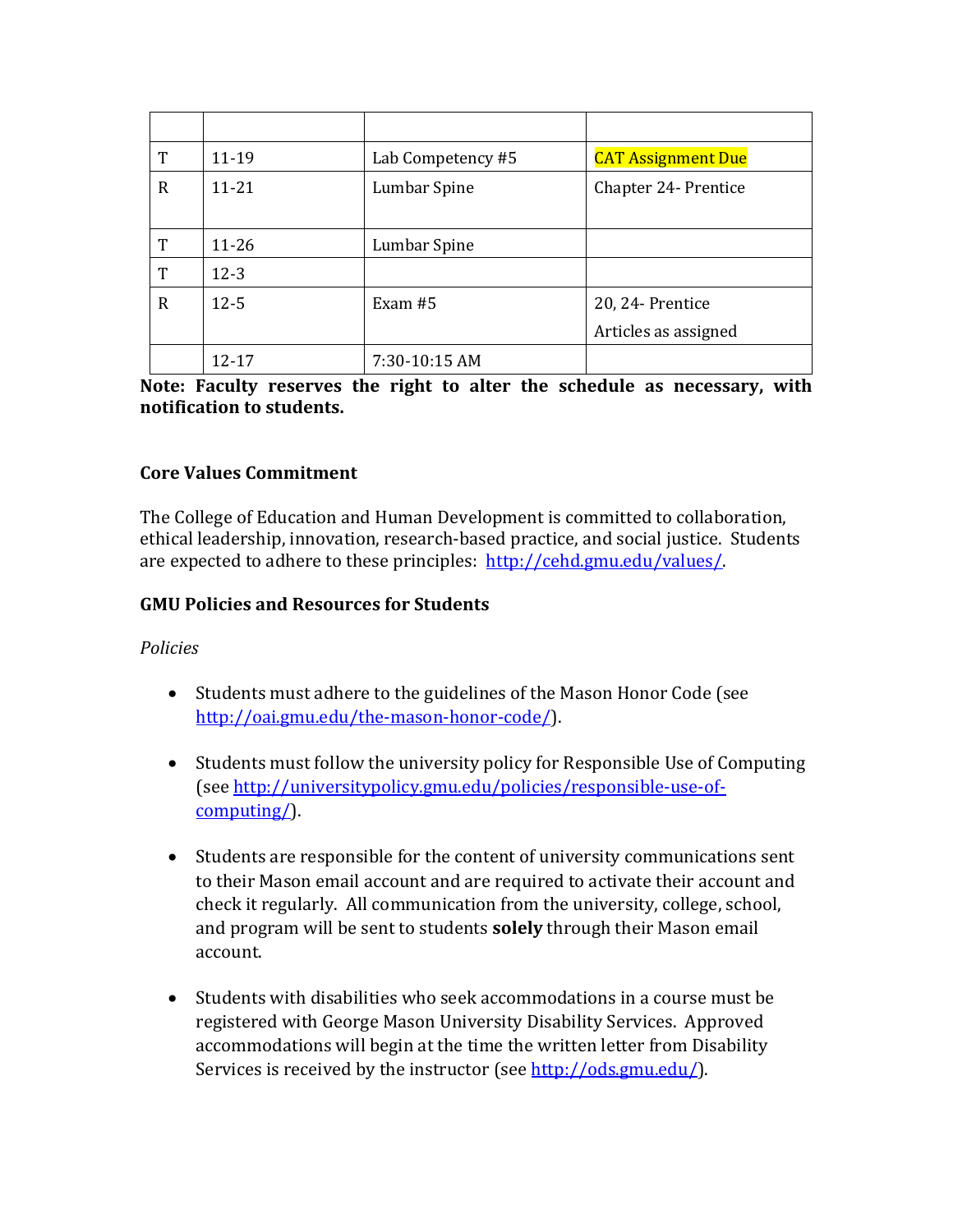| T | 11-19     | Lab Competency #5 | <b>CAT Assignment Due</b> |
|---|-----------|-------------------|---------------------------|
| R | $11 - 21$ | Lumbar Spine      | Chapter 24- Prentice      |
|   |           |                   |                           |
| T | $11 - 26$ | Lumbar Spine      |                           |
| T | $12 - 3$  |                   |                           |
| R | $12 - 5$  | Exam $#5$         | 20, 24- Prentice          |
|   |           |                   | Articles as assigned      |
|   | 12-17     | 7:30-10:15 AM     |                           |

Note: Faculty reserves the right to alter the schedule as necessary, with **notification to students.** 

### **Core Values Commitment**

The College of Education and Human Development is committed to collaboration, ethical leadership, innovation, research-based practice, and social justice. Students are expected to adhere to these principles: http://cehd.gmu.edu/values/.

### **GMU Policies and Resources for Students**

### *Policies*

- Students must adhere to the guidelines of the Mason Honor Code (see http://oai.gmu.edu/the-mason-honor-code/).
- Students must follow the university policy for Responsible Use of Computing (see http://universitypolicy.gmu.edu/policies/responsible-use-ofcomputing/).
- Students are responsible for the content of university communications sent to their Mason email account and are required to activate their account and check it regularly. All communication from the university, college, school, and program will be sent to students **solely** through their Mason email account.
- Students with disabilities who seek accommodations in a course must be registered with George Mason University Disability Services. Approved accommodations will begin at the time the written letter from Disability Services is received by the instructor (see http://ods.gmu.edu/).